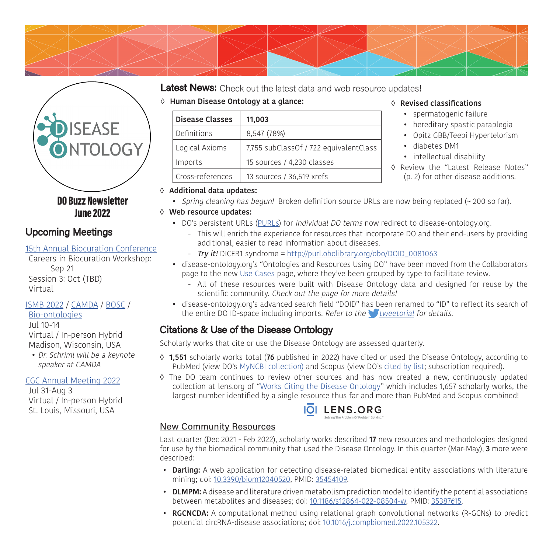



## Upcoming Meetings

### [15th Annual Biocuration Conference](https://www.biocuration.org/15th-annual-biocuration-conference-virtual/)

Careers in Biocuration Workshop: Sep 21 Session 3: Oct (TBD) Virtual

# [ISMB 2022](https://www.iscb.org/ismb2022) / [CAMDA](http://www.camda.info/) / [BOSC](https://www.open-bio.org/events/bosc-2022/) /

[Bio-ontologies](https://www.bio-ontologies.org.uk/ismb-annual-meeting) Jul 10-14 Virtual / In-person Hybrid Madison, Wisconsin, USA

• Dr. Schriml will be a keynote speaker at CAMDA

### [CGC Annual Meeting 2022](https://www.cancergenomics.org/meetings/cgc_annual_meeting_2022.php)

Jul 31-Aug 3 Virtual / In-person Hybrid St. Louis, Missouri, USA

## Latest News: Check out the latest data and web resource updates!

◊ **Human Disease Ontology at a glance:**

| <b>Disease Classes</b> | 11,003                                 |
|------------------------|----------------------------------------|
| Definitions            | 8,547 (78%)                            |
| Logical Axioms         | 7,755 subClassOf / 722 equivalentClass |
| Imports                | 15 sources / 4,230 classes             |
| Cross-references       | 13 sources / 36,519 xrefs              |

### ◊ **Revised classifications**

- spermatogenic failure
- hereditary spastic paraplegia
- Opitz GBB/Teebi Hypertelorism
- diabetes DM1
- intellectual disability
- ◊ Review the "Latest Release Notes" (p. 2) for other disease additions.

### ◊ **Additional data updates:**

• Spring cleaning has begun! Broken definition source URLs are now being replaced  $(\sim 200 \text{ so far})$ .

### ◊ **Web resource updates:**

- DO's persistent URLs ([PURLs\)](https://en.wikipedia.org/wiki/Persistent_uniform_resource_locator) for individual DO terms now redirect to disease-ontology.org.
	- This will enrich the experience for resources that incorporate DO and their end-users by providing additional, easier to read information about diseases.
	- Try it! DICER1 syndrome = [http://purl.obolibrary.org/obo/DOID\\_0081063](http://purl.obolibrary.org/obo/DOID_0081063)
- disease-ontology.org's "Ontologies and Resources Using DO" have been moved from the Collaborators page to the new [Use Cases](https://disease-ontology.org/community/use-cases) page, where they've been grouped by type to facilitate review.
	- All of these resources were built with Disease Ontology data and designed for reuse by the scientific community. Check out the page for more details!
- disease-ontology.org's advanced search field "DOID" has been renamed to "ID" to reflect its search of the entire DO ID-space including imports. Refer to the *[tweetorial](https://twitter.com/diseaseontology/status/1524074606482497536) for details.*

# Citations & Use of the Disease Ontology

Scholarly works that cite or use the Disease Ontology are assessed quarterly.

- ◊ **1,551** scholarly works total (**76** published in 2022) have cited or used the Disease Ontology, according to PubMed (view DO's [MyNCBI collection\)](https://www.ncbi.nlm.nih.gov/myncbi/browse/collection/49204559/) and Scopus (view DO's [cited by list;](https://www.scopus.com/results/results.uri?sort=plfo-f&src=s&imp=t&sid=c7542e1e1c8c61cd92ade4cae18ffdde&sot=mulcite&sdt=mulcite&sl=202&s=REFEID(2-s2.0-85122431347+OR+2-s2.0-85059795792+OR+2-s2.0-85045050282+OR+2-s2.0-84943818431+OR+2-s2.0-84941103725+OR+2-s2.0-84943179865+OR+2-s2.0-84859699832+OR+2-s2.0-66349110163+OR+2-s2.0-66349132579)&origin=resultslist&citeCnt=9&mciteCt=9&editSaveSearch=&txGid=a58671200f38db2745418ec035c46687) subscription required).
- ◊ The DO team continues to review other sources and has now created a new, continuously updated collection at lens.org of "[Works Citing the Disease Ontology](https://link.lens.org/9x4HzTNvs2c)" which includes 1,657 scholarly works, the largest number identified by a single resource thus far and more than PubMed and Scopus combined!



### New Community Resources

Last quarter (Dec 2021 - Feb 2022), scholarly works described **17** new resources and methodologies designed for use by the biomedical community that used the Disease Ontology. In this quarter (Mar-May), **3** more were described:

- **Darling:** A web application for detecting disease-related biomedical entity associations with literature mining; doi: [10.3390/biom12040520,](http://doi.org/10.3390/biom12040520) PMID: [35454109](https://pubmed.ncbi.nlm.nih.gov/35454109/).
- **DLMPM:** A disease and literature driven metabolism prediction model to identify the potential associations between metabolites and diseases; doi: [10.1186/s12864-022-08504-w,](http://doi.org/10.1186/s12864-022-08504-w) PMID: [35387615.](https://pubmed.ncbi.nlm.nih.gov/35387615/)
- **RGCNCDA:** A computational method using relational graph convolutional networks (R-GCNs) to predict potential circRNA-disease associations; doi: [10.1016/j.compbiomed.2022.105322](http://doi.org/10.1016/j.compbiomed.2022.105322).